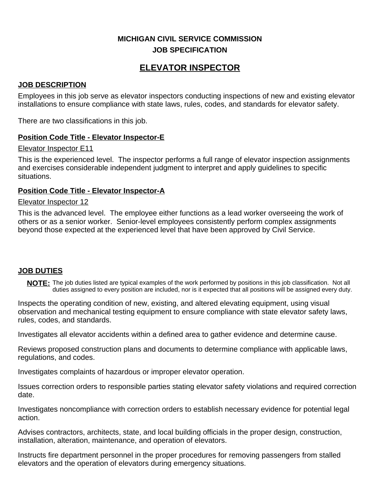## **MICHIGAN CIVIL SERVICE COMMISSION JOB SPECIFICATION**

# **ELEVATOR INSPECTOR**

## **JOB DESCRIPTION**

Employees in this job serve as elevator inspectors conducting inspections of new and existing elevator installations to ensure compliance with state laws, rules, codes, and standards for elevator safety.

There are two classifications in this job.

## **Position Code Title - Elevator Inspector-E**

#### Elevator Inspector E11

This is the experienced level. The inspector performs a full range of elevator inspection assignments and exercises considerable independent judgment to interpret and apply guidelines to specific situations.

## **Position Code Title - Elevator Inspector-A**

## Elevator Inspector 12

This is the advanced level. The employee either functions as a lead worker overseeing the work of others or as a senior worker. Senior-level employees consistently perform complex assignments beyond those expected at the experienced level that have been approved by Civil Service.

## **JOB DUTIES**

**NOTE:** The job duties listed are typical examples of the work performed by positions in this job classification. Not all duties assigned to every position are included, nor is it expected that all positions will be assigned every duty.

Inspects the operating condition of new, existing, and altered elevating equipment, using visual observation and mechanical testing equipment to ensure compliance with state elevator safety laws, rules, codes, and standards.

Investigates all elevator accidents within a defined area to gather evidence and determine cause.

Reviews proposed construction plans and documents to determine compliance with applicable laws, regulations, and codes.

Investigates complaints of hazardous or improper elevator operation.

Issues correction orders to responsible parties stating elevator safety violations and required correction date.

Investigates noncompliance with correction orders to establish necessary evidence for potential legal action.

Advises contractors, architects, state, and local building officials in the proper design, construction, installation, alteration, maintenance, and operation of elevators.

Instructs fire department personnel in the proper procedures for removing passengers from stalled elevators and the operation of elevators during emergency situations.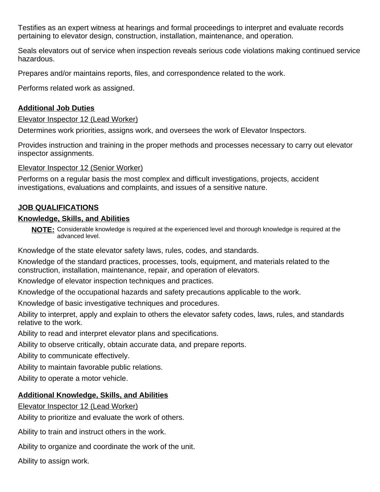Testifies as an expert witness at hearings and formal proceedings to interpret and evaluate records pertaining to elevator design, construction, installation, maintenance, and operation.

Seals elevators out of service when inspection reveals serious code violations making continued service hazardous.

Prepares and/or maintains reports, files, and correspondence related to the work.

Performs related work as assigned.

#### **Additional Job Duties**

Elevator Inspector 12 (Lead Worker)

Determines work priorities, assigns work, and oversees the work of Elevator Inspectors.

Provides instruction and training in the proper methods and processes necessary to carry out elevator inspector assignments.

Elevator Inspector 12 (Senior Worker)

Performs on a regular basis the most complex and difficult investigations, projects, accident investigations, evaluations and complaints, and issues of a sensitive nature.

## **JOB QUALIFICATIONS**

#### **Knowledge, Skills, and Abilities**

**NOTE:** Considerable knowledge is required at the experienced level and thorough knowledge is required at the advanced level.

Knowledge of the state elevator safety laws, rules, codes, and standards.

Knowledge of the standard practices, processes, tools, equipment, and materials related to the construction, installation, maintenance, repair, and operation of elevators.

Knowledge of elevator inspection techniques and practices.

Knowledge of the occupational hazards and safety precautions applicable to the work.

Knowledge of basic investigative techniques and procedures.

Ability to interpret, apply and explain to others the elevator safety codes, laws, rules, and standards relative to the work.

Ability to read and interpret elevator plans and specifications.

Ability to observe critically, obtain accurate data, and prepare reports.

Ability to communicate effectively.

Ability to maintain favorable public relations.

Ability to operate a motor vehicle.

## **Additional Knowledge, Skills, and Abilities**

Elevator Inspector 12 (Lead Worker)

Ability to prioritize and evaluate the work of others.

Ability to train and instruct others in the work.

Ability to organize and coordinate the work of the unit.

Ability to assign work.